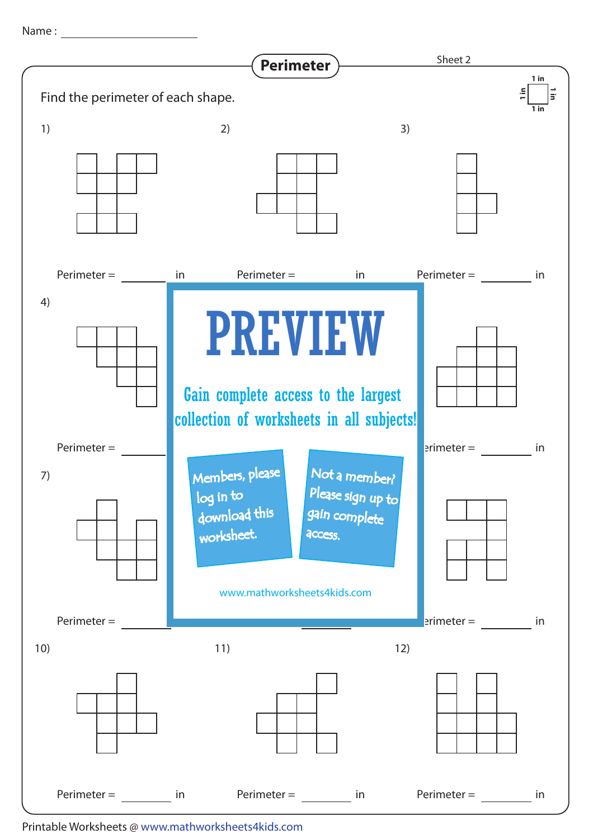Name : with the state of  $\sim$ 



Printable Worksheets @ www.mathworksheets4kids.com